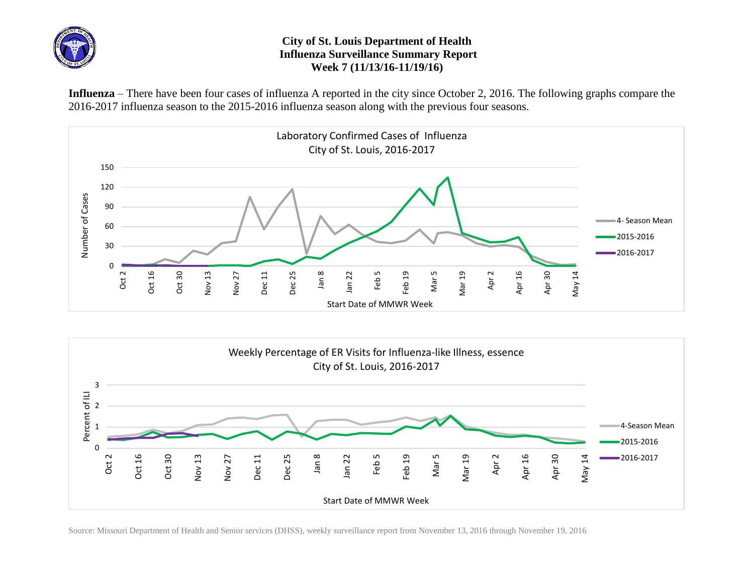

## **City of St. Louis Department of Health Influenza Surveillance Summary Report Week 7 (11/13/16-11/19/16)**

**Influenza** – There have been four cases of influenza A reported in the city since October 2, 2016. The following graphs compare the 2016-2017 influenza season to the 2015-2016 influenza season along with the previous four seasons.





Source: Missouri Department of Health and Senior services (DHSS), weekly surveillance report from November 13, 2016 through November 19, 2016